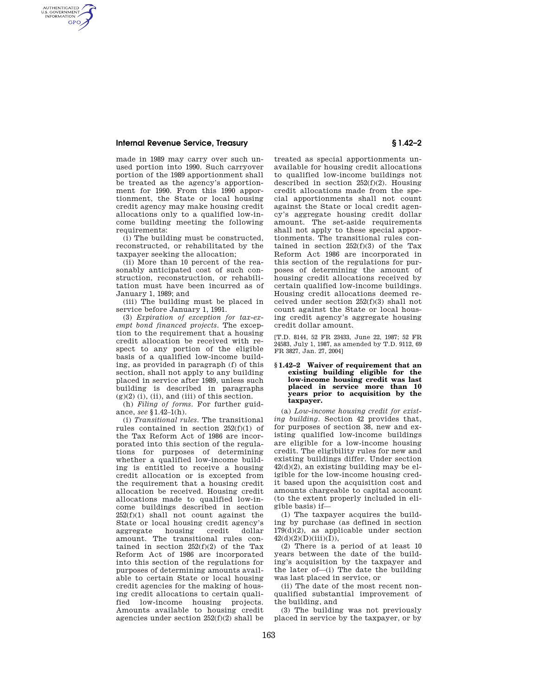# **Internal Revenue Service, Treasury § 1.42–2**

AUTHENTICATED<br>U.S. GOVERNMENT<br>INFORMATION **GPO** 

> made in 1989 may carry over such unused portion into 1990. Such carryover portion of the 1989 apportionment shall be treated as the agency's apportionment for 1990. From this 1990 apportionment, the State or local housing credit agency may make housing credit allocations only to a qualified low-income building meeting the following requirements:

> (i) The building must be constructed, reconstructed, or rehabilitated by the taxpayer seeking the allocation;

> (ii) More than 10 percent of the reasonably anticipated cost of such construction, reconstruction, or rehabilitation must have been incurred as of January 1, 1989; and

> (iii) The building must be placed in service before January 1, 1991.

> (3) *Expiration of exception for tax-exempt bond financed projects.* The exception to the requirement that a housing credit allocation be received with respect to any portion of the eligible basis of a qualified low-income building, as provided in paragraph (f) of this section, shall not apply to any building placed in service after 1989, unless such building is described in paragraphs  $(g)(2)$  (i), (ii), and (iii) of this section.

(h) *Filing of forms.* For further guidance, *see* §1.42–1(h).

(i) *Transitional rules.* The transitional rules contained in section 252(f)(1) of the Tax Reform Act of 1986 are incorporated into this section of the regulations for purposes of determining whether a qualified low-income building is entitled to receive a housing credit allocation or is excepted from the requirement that a housing credit allocation be received. Housing credit allocations made to qualified low-income buildings described in section  $252(f)(1)$  shall not count against the State or local housing credit agency's housing amount. The transitional rules contained in section  $252(f)(2)$  of the Tax Reform Act of 1986 are incorporated into this section of the regulations for purposes of determining amounts available to certain State or local housing credit agencies for the making of housing credit allocations to certain qualified low-income housing projects. Amounts available to housing credit agencies under section  $252(f)(2)$  shall be

treated as special apportionments unavailable for housing credit allocations to qualified low-income buildings not described in section  $252(f)(2)$ . Housing credit allocations made from the special apportionments shall not count against the State or local credit agency's aggregate housing credit dollar amount. The set-aside requirements shall not apply to these special apportionments. The transitional rules contained in section  $252(f)(3)$  of the Tax Reform Act 1986 are incorporated in this section of the regulations for purposes of determining the amount of housing credit allocations received by certain qualified low-income buildings. Housing credit allocations deemed received under section 252(f)(3) shall not count against the State or local housing credit agency's aggregate housing credit dollar amount.

[T.D. 8144, 52 FR 23433, June 22, 1987; 52 FR 24583, July 1, 1987, as amended by T.D. 9112, 69 FR 3827, Jan. 27, 2004]

### **§ 1.42–2 Waiver of requirement that an existing building eligible for the low-income housing credit was last placed in service more than 10 years prior to acquisition by the taxpayer.**

(a) *Low-income housing credit for existing building.* Section 42 provides that, for purposes of section 38, new and existing qualified low-income buildings are eligible for a low-income housing credit. The eligibility rules for new and existing buildings differ. Under section 42(d)(2), an existing building may be eligible for the low-income housing credit based upon the acquisition cost and amounts chargeable to capital account (to the extent properly included in eligible basis) if—

(1) The taxpayer acquires the building by purchase (as defined in section  $179(d)(2)$ , as applicable under section  $42(d)(2)(D)(iii)(I)),$ 

(2) There is a period of at least 10 years between the date of the building's acquisition by the taxpayer and the later of—(i) The date the building was last placed in service, or

(ii) The date of the most recent nonqualified substantial improvement of the building, and

(3) The building was not previously placed in service by the taxpayer, or by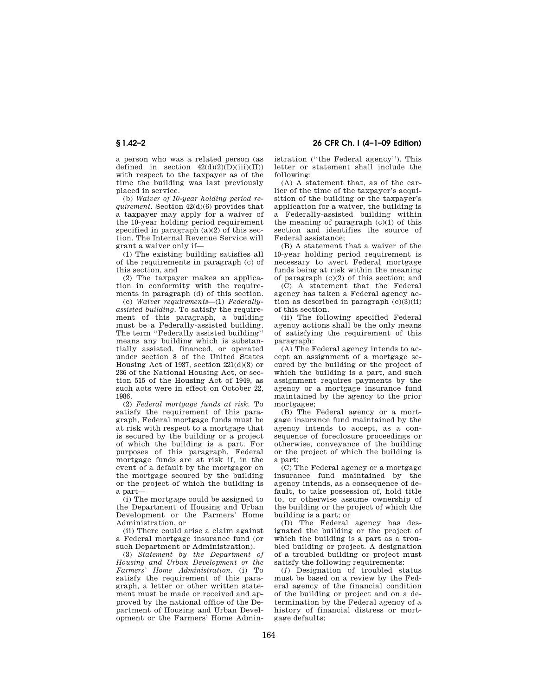a person who was a related person (as defined in section  $42(d)(2)(D)(iii)(II))$ with respect to the taxpayer as of the time the building was last previously placed in service.

(b) *Waiver of 10-year holding period requirement.* Section 42(d)(6) provides that a taxpayer may apply for a waiver of the 10-year holding period requirement specified in paragraph (a)(2) of this section. The Internal Revenue Service will grant a waiver only if—

(1) The existing building satisfies all of the requirements in paragraph (c) of this section, and

(2) The taxpayer makes an application in conformity with the requirements in paragraph (d) of this section.

(c) *Waiver requirements*—(1) *Federallyassisted building.* To satisfy the requirement of this paragraph, a building must be a Federally-assisted building. The term "Federally assisted building" means any building which is substantially assisted, financed, or operated under section 8 of the United States Housing Act of 1937, section 221(d)(3) or 236 of the National Housing Act, or section 515 of the Housing Act of 1949, as such acts were in effect on October 22, 1986.

(2) *Federal mortgage funds at risk.* To satisfy the requirement of this paragraph, Federal mortgage funds must be at risk with respect to a mortgage that is secured by the building or a project of which the building is a part. For purposes of this paragraph, Federal mortgage funds are at risk if, in the event of a default by the mortgagor on the mortgage secured by the building or the project of which the building is a part—

(i) The mortgage could be assigned to the Department of Housing and Urban Development or the Farmers' Home Administration, or

(ii) There could arise a claim against a Federal mortgage insurance fund (or such Department or Administration).

(3) *Statement by the Department of Housing and Urban Development or the Farmers' Home Administration.* (i) To satisfy the requirement of this paragraph, a letter or other written statement must be made or received and approved by the national office of the Department of Housing and Urban Development or the Farmers' Home Admin-

**§ 1.42–2 26 CFR Ch. I (4–1–09 Edition)** 

istration (''the Federal agency''). This letter or statement shall include the following:

(A) A statement that, as of the earlier of the time of the taxpayer's acquisition of the building or the taxpayer's application for a waiver, the building is a Federally-assisted building within the meaning of paragraph  $(c)(1)$  of this section and identifies the source of Federal assistance;

(B) A statement that a waiver of the 10-year holding period requirement is necessary to avert Federal mortgage funds being at risk within the meaning of paragraph (c)(2) of this section; and

(C) A statement that the Federal agency has taken a Federal agency action as described in paragraph  $(c)(3)(ii)$ of this section.

(ii) The following specified Federal agency actions shall be the only means of satisfying the requirement of this paragraph:

(A) The Federal agency intends to accept an assignment of a mortgage secured by the building or the project of which the building is a part, and such assignment requires payments by the agency or a mortgage insurance fund maintained by the agency to the prior mortgagee;

(B) The Federal agency or a mortgage insurance fund maintained by the agency intends to accept, as a consequence of foreclosure proceedings or otherwise, conveyance of the building or the project of which the building is a part;

(C) The Federal agency or a mortgage insurance fund maintained by the agency intends, as a consequence of default, to take possession of, hold title to, or otherwise assume ownership of the building or the project of which the building is a part; or

(D) The Federal agency has designated the building or the project of which the building is a part as a troubled building or project. A designation of a troubled building or project must satisfy the following requirements:

(*1*) Designation of troubled status must be based on a review by the Federal agency of the financial condition of the building or project and on a determination by the Federal agency of a history of financial distress or mortgage defaults;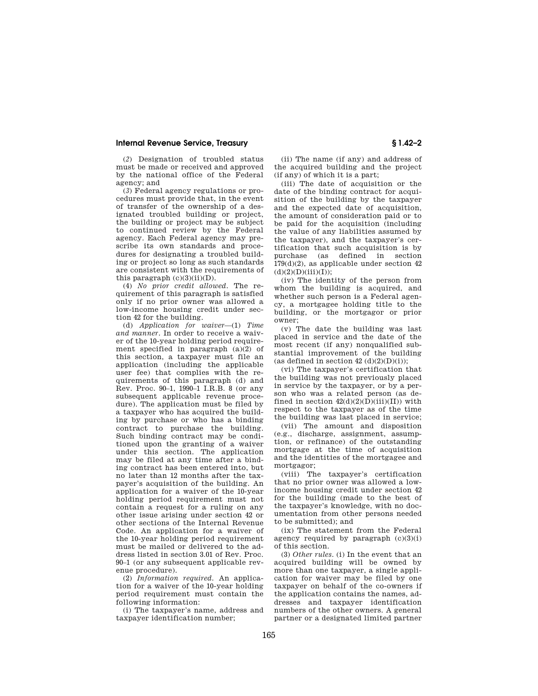# **Internal Revenue Service, Treasury § 1.42–2**

(*2*) Designation of troubled status must be made or received and approved by the national office of the Federal agency; and

(*3*) Federal agency regulations or procedures must provide that, in the event of transfer of the ownership of a designated troubled building or project, the building or project may be subject to continued review by the Federal agency. Each Federal agency may prescribe its own standards and procedures for designating a troubled building or project so long as such standards are consistent with the requirements of this paragraph  $(c)(3)(ii)(D)$ .

(4) *No prior credit allowed.* The requirement of this paragraph is satisfied only if no prior owner was allowed a low-income housing credit under section 42 for the building.

(d) *Application for waiver*—(1) *Time and manner.* In order to receive a waiver of the 10-year holding period requirement specified in paragraph (a)(2) of this section, a taxpayer must file an application (including the applicable user fee) that complies with the requirements of this paragraph (d) and Rev. Proc. 90–1, 1990–1 I.R.B. 8 (or any subsequent applicable revenue procedure). The application must be filed by a taxpayer who has acquired the building by purchase or who has a binding contract to purchase the building. Such binding contract may be conditioned upon the granting of a waiver under this section. The application may be filed at any time after a binding contract has been entered into, but no later than 12 months after the taxpayer's acquisition of the building. An application for a waiver of the 10-year holding period requirement must not contain a request for a ruling on any other issue arising under section 42 or other sections of the Internal Revenue Code. An application for a waiver of the 10-year holding period requirement must be mailed or delivered to the address listed in section 3.01 of Rev. Proc. 90–1 (or any subsequent applicable revenue procedure).

(2) *Information required.* An application for a waiver of the 10-year holding period requirement must contain the following information:

(i) The taxpayer's name, address and taxpayer identification number;

(ii) The name (if any) and address of the acquired building and the project (if any) of which it is a part;

(iii) The date of acquisition or the date of the binding contract for acquisition of the building by the taxpayer and the expected date of acquisition, the amount of consideration paid or to be paid for the acquisition (including the value of any liabilities assumed by the taxpayer), and the taxpayer's certification that such acquisition is by purchase (as defined in section 179(d)(2), as applicable under section 42  $(d)(2)(D)(iii)(I));$ 

(iv) The identity of the person from whom the building is acquired, and whether such person is a Federal agency, a mortgagee holding title to the building, or the mortgagor or prior owner;

(v) The date the building was last placed in service and the date of the most recent (if any) nonqualified substantial improvement of the building (as defined in section  $42 \text{ (d)}(2)(D)(i)$ );

(vi) The taxpayer's certification that the building was not previously placed in service by the taxpayer, or by a person who was a related person (as defined in section  $42(d)(2)(D)(iii)(II))$  with respect to the taxpayer as of the time the building was last placed in service;

(vii) The amount and disposition (e.g., discharge, assignment, assumption, or refinance) of the outstanding mortgage at the time of acquisition and the identities of the mortgagee and mortgagor;

(viii) The taxpayer's certification that no prior owner was allowed a lowincome housing credit under section 42 for the building (made to the best of the taxpayer's knowledge, with no documentation from other persons needed to be submitted); and

(ix) The statement from the Federal agency required by paragraph  $(c)(3)(i)$ of this section.

(3) *Other rules.* (i) In the event that an acquired building will be owned by more than one taxpayer, a single application for waiver may be filed by one taxpayer on behalf of the co-owners if the application contains the names, addresses and taxpayer identification numbers of the other owners. A general partner or a designated limited partner